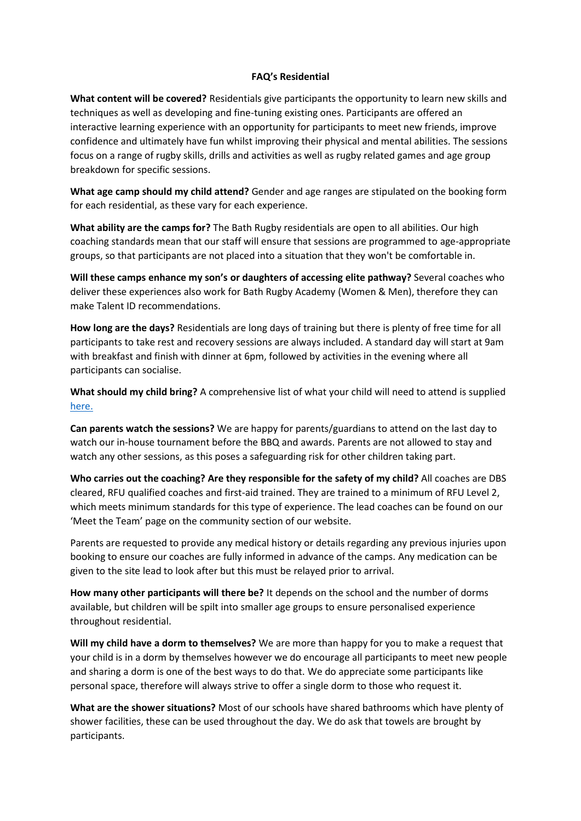## **FAQ's Residential**

**What content will be covered?** Residentials give participants the opportunity to learn new skills and techniques as well as developing and fine-tuning existing ones. Participants are offered an interactive learning experience with an opportunity for participants to meet new friends, improve confidence and ultimately have fun whilst improving their physical and mental abilities. The sessions focus on a range of rugby skills, drills and activities as well as rugby related games and age group breakdown for specific sessions.

**What age camp should my child attend?** Gender and age ranges are stipulated on the booking form for each residential, as these vary for each experience.

**What ability are the camps for?** The Bath Rugby residentials are open to all abilities. Our high coaching standards mean that our staff will ensure that sessions are programmed to age-appropriate groups, so that participants are not placed into a situation that they won't be comfortable in.

**Will these camps enhance my son's or daughters of accessing elite pathway?** Several coaches who deliver these experiences also work for Bath Rugby Academy (Women & Men), therefore they can make Talent ID recommendations.

**How long are the days?** Residentials are long days of training but there is plenty of free time for all participants to take rest and recovery sessions are always included. A standard day will start at 9am with breakfast and finish with dinner at 6pm, followed by activities in the evening where all participants can socialise.

**What should my child bring?** A comprehensive list of what your child will need to attend is supplied [here.](https://www.bathrugby.com/community/bath-rugby-residentials/)

**Can parents watch the sessions?** We are happy for parents/guardians to attend on the last day to watch our in-house tournament before the BBQ and awards. Parents are not allowed to stay and watch any other sessions, as this poses a safeguarding risk for other children taking part.

**Who carries out the coaching? Are they responsible for the safety of my child?** All coaches are DBS cleared, RFU qualified coaches and first-aid trained. They are trained to a minimum of RFU Level 2, which meets minimum standards for this type of experience. The lead coaches can be found on our 'Meet the Team' page on the community section of our website.

Parents are requested to provide any medical history or details regarding any previous injuries upon booking to ensure our coaches are fully informed in advance of the camps. Any medication can be given to the site lead to look after but this must be relayed prior to arrival.

**How many other participants will there be?** It depends on the school and the number of dorms available, but children will be spilt into smaller age groups to ensure personalised experience throughout residential.

**Will my child have a dorm to themselves?** We are more than happy for you to make a request that your child is in a dorm by themselves however we do encourage all participants to meet new people and sharing a dorm is one of the best ways to do that. We do appreciate some participants like personal space, therefore will always strive to offer a single dorm to those who request it.

**What are the shower situations?** Most of our schools have shared bathrooms which have plenty of shower facilities, these can be used throughout the day. We do ask that towels are brought by participants.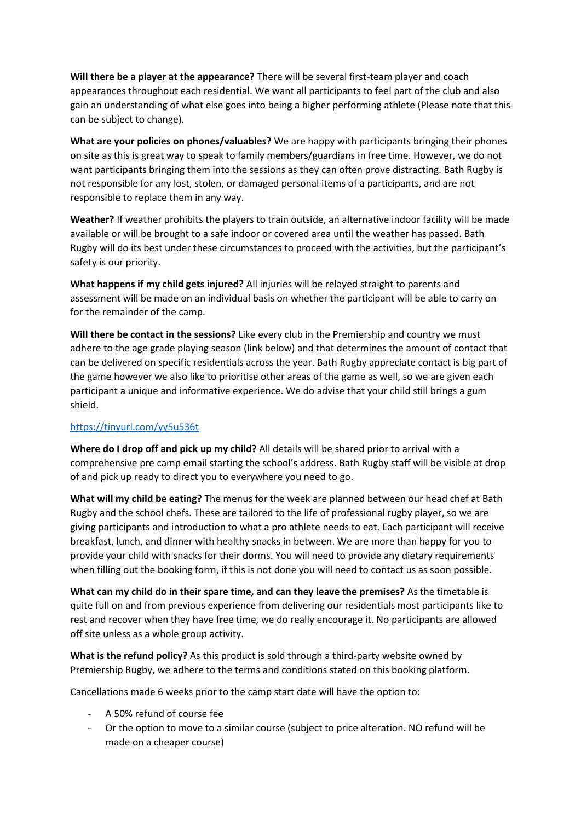**Will there be a player at the appearance?** There will be several first-team player and coach appearances throughout each residential. We want all participants to feel part of the club and also gain an understanding of what else goes into being a higher performing athlete (Please note that this can be subject to change).

**What are your policies on phones/valuables?** We are happy with participants bringing their phones on site as this is great way to speak to family members/guardians in free time. However, we do not want participants bringing them into the sessions as they can often prove distracting. Bath Rugby is not responsible for any lost, stolen, or damaged personal items of a participants, and are not responsible to replace them in any way.

**Weather?** If weather prohibits the players to train outside, an alternative indoor facility will be made available or will be brought to a safe indoor or covered area until the weather has passed. Bath Rugby will do its best under these circumstances to proceed with the activities, but the participant's safety is our priority.

**What happens if my child gets injured?** All injuries will be relayed straight to parents and assessment will be made on an individual basis on whether the participant will be able to carry on for the remainder of the camp.

**Will there be contact in the sessions?** Like every club in the Premiership and country we must adhere to the age grade playing season (link below) and that determines the amount of contact that can be delivered on specific residentials across the year. Bath Rugby appreciate contact is big part of the game however we also like to prioritise other areas of the game as well, so we are given each participant a unique and informative experience. We do advise that your child still brings a gum shield.

## <https://tinyurl.com/yy5u536t>

**Where do I drop off and pick up my child?** All details will be shared prior to arrival with a comprehensive pre camp email starting the school's address. Bath Rugby staff will be visible at drop of and pick up ready to direct you to everywhere you need to go.

**What will my child be eating?** The menus for the week are planned between our head chef at Bath Rugby and the school chefs. These are tailored to the life of professional rugby player, so we are giving participants and introduction to what a pro athlete needs to eat. Each participant will receive breakfast, lunch, and dinner with healthy snacks in between. We are more than happy for you to provide your child with snacks for their dorms. You will need to provide any dietary requirements when filling out the booking form, if this is not done you will need to contact us as soon possible.

**What can my child do in their spare time, and can they leave the premises?** As the timetable is quite full on and from previous experience from delivering our residentials most participants like to rest and recover when they have free time, we do really encourage it. No participants are allowed off site unless as a whole group activity.

**What is the refund policy?** As this product is sold through a third-party website owned by Premiership Rugby, we adhere to the terms and conditions stated on this booking platform.

Cancellations made 6 weeks prior to the camp start date will have the option to:

- A 50% refund of course fee
- Or the option to move to a similar course (subject to price alteration. NO refund will be made on a cheaper course)